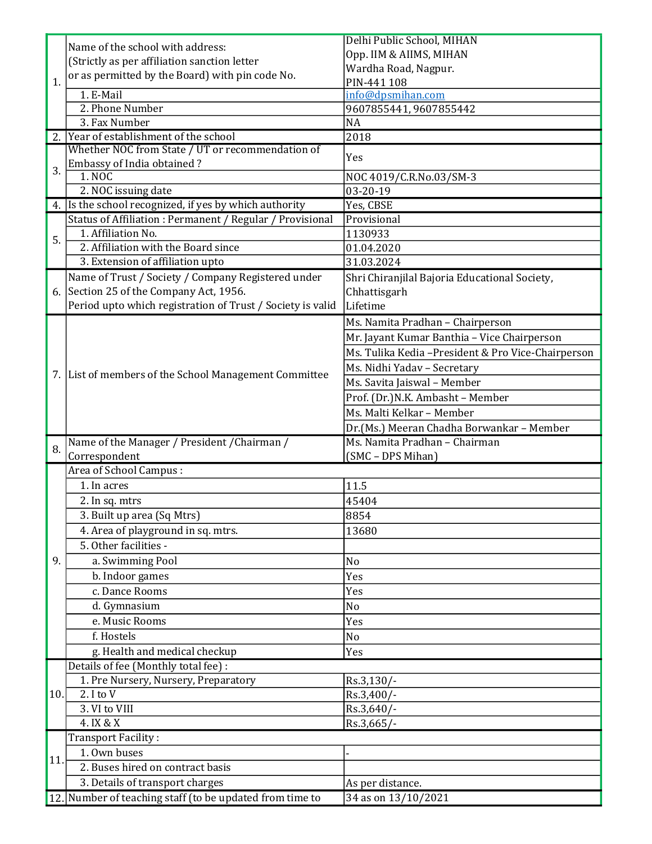| 1.  | Name of the school with address:                                                            | Delhi Public School, MIHAN                          |
|-----|---------------------------------------------------------------------------------------------|-----------------------------------------------------|
|     | (Strictly as per affiliation sanction letter                                                | Opp. IIM & AIIMS, MIHAN                             |
|     | or as permitted by the Board) with pin code No.                                             | Wardha Road, Nagpur.                                |
|     |                                                                                             | PIN-441 108                                         |
|     | 1. E-Mail                                                                                   | info@dpsmihan.com                                   |
|     | 2. Phone Number                                                                             | 9607855441, 9607855442                              |
|     | 3. Fax Number                                                                               | <b>NA</b>                                           |
|     | Year of establishment of the school                                                         | 2018                                                |
| 3.  | Whether NOC from State / UT or recommendation of                                            | Yes                                                 |
|     | Embassy of India obtained?                                                                  |                                                     |
|     | 1. NOC                                                                                      | NOC 4019/C.R.No.03/SM-3                             |
|     | 2. NOC issuing date                                                                         | $\overline{03-20-19}$                               |
|     | 4. Is the school recognized, if yes by which authority                                      | Yes, CBSE                                           |
| 5.  | Status of Affiliation: Permanent / Regular / Provisional                                    | Provisional                                         |
|     | 1. Affiliation No.                                                                          | 1130933                                             |
|     | 2. Affiliation with the Board since                                                         | 01.04.2020                                          |
|     | 3. Extension of affiliation upto                                                            | 31.03.2024                                          |
|     | Name of Trust / Society / Company Registered under                                          | Shri Chiranjilal Bajoria Educational Society,       |
|     | 6. Section 25 of the Company Act, 1956.                                                     | Chhattisgarh                                        |
|     | Period upto which registration of Trust / Society is valid                                  | Lifetime                                            |
|     |                                                                                             | Ms. Namita Pradhan - Chairperson                    |
|     | 7. List of members of the School Management Committee                                       | Mr. Jayant Kumar Banthia - Vice Chairperson         |
|     |                                                                                             | Ms. Tulika Kedia - President & Pro Vice-Chairperson |
|     |                                                                                             | Ms. Nidhi Yadav - Secretary                         |
|     |                                                                                             | Ms. Savita Jaiswal - Member                         |
|     |                                                                                             |                                                     |
|     |                                                                                             | Prof. (Dr.) N.K. Ambasht - Member                   |
|     |                                                                                             | Ms. Malti Kelkar - Member                           |
|     |                                                                                             | Dr.(Ms.) Meeran Chadha Borwankar - Member           |
| 8.  | Name of the Manager / President / Chairman /                                                | Ms. Namita Pradhan - Chairman                       |
|     | Correspondent<br>Area of School Campus:                                                     | (SMC - DPS Mihan)                                   |
|     |                                                                                             |                                                     |
|     | 1. In acres                                                                                 | 11.5                                                |
|     | 2. In sq. mtrs                                                                              | 45404                                               |
|     | 3. Built up area (Sq Mtrs)                                                                  | 8854                                                |
|     | 4. Area of playground in sq. mtrs.                                                          | 13680                                               |
|     | 5. Other facilities -                                                                       |                                                     |
| 9.  | a. Swimming Pool                                                                            | N <sub>o</sub>                                      |
|     | b. Indoor games                                                                             | Yes                                                 |
|     | c. Dance Rooms                                                                              | Yes                                                 |
|     |                                                                                             | No                                                  |
|     | d. Gymnasium                                                                                |                                                     |
|     | e. Music Rooms                                                                              |                                                     |
|     |                                                                                             | Yes                                                 |
|     | f. Hostels                                                                                  | No                                                  |
|     | g. Health and medical checkup                                                               | Yes                                                 |
|     | Details of fee (Monthly total fee) :                                                        |                                                     |
|     | 1. Pre Nursery, Nursery, Preparatory                                                        | Rs.3,130/-                                          |
| 10. | 2. I to V                                                                                   | Rs.3,400/-                                          |
|     | 3. VI to VIII                                                                               | Rs.3,640/-                                          |
|     | 4. IX & X                                                                                   | Rs.3,665/-                                          |
|     | Transport Facility:                                                                         |                                                     |
| 11. | 1. Own buses                                                                                |                                                     |
|     | 2. Buses hired on contract basis                                                            |                                                     |
|     | 3. Details of transport charges<br>12. Number of teaching staff (to be updated from time to | As per distance.<br>34 as on 13/10/2021             |